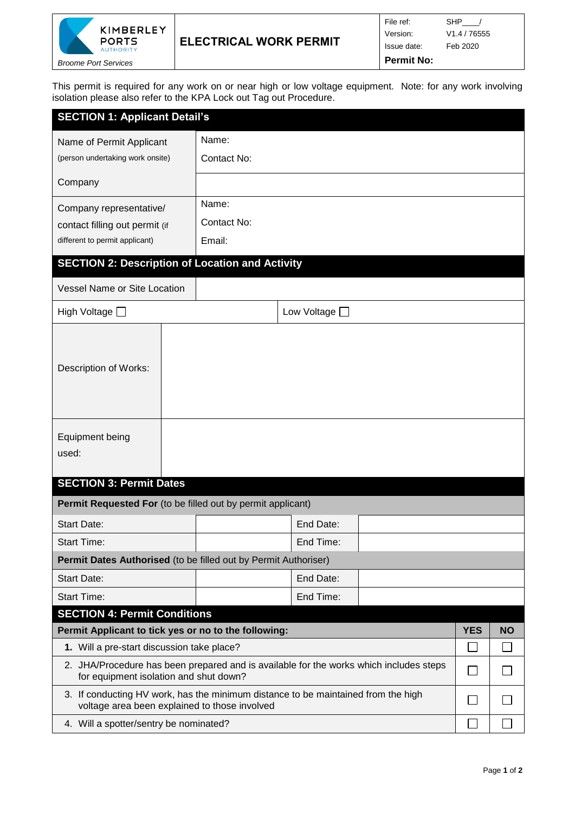

This permit is required for any work on or near high or low voltage equipment. Note: for any work involving isolation please also refer to the KPA Lock out Tag out Procedure.

| <b>SECTION 1: Applicant Detail's</b>                                                                                               |             |                    |  |  |  |  |  |  |  |  |
|------------------------------------------------------------------------------------------------------------------------------------|-------------|--------------------|--|--|--|--|--|--|--|--|
| Name of Permit Applicant                                                                                                           | Name:       |                    |  |  |  |  |  |  |  |  |
| (person undertaking work onsite)                                                                                                   | Contact No: |                    |  |  |  |  |  |  |  |  |
| Company                                                                                                                            |             |                    |  |  |  |  |  |  |  |  |
| Company representative/                                                                                                            | Name:       |                    |  |  |  |  |  |  |  |  |
| contact filling out permit (if                                                                                                     | Contact No: |                    |  |  |  |  |  |  |  |  |
| different to permit applicant)                                                                                                     | Email:      |                    |  |  |  |  |  |  |  |  |
| <b>SECTION 2: Description of Location and Activity</b>                                                                             |             |                    |  |  |  |  |  |  |  |  |
| <b>Vessel Name or Site Location</b>                                                                                                |             |                    |  |  |  |  |  |  |  |  |
| High Voltage □                                                                                                                     |             | Low Voltage $\Box$ |  |  |  |  |  |  |  |  |
| Description of Works:                                                                                                              |             |                    |  |  |  |  |  |  |  |  |
| Equipment being<br>used:                                                                                                           |             |                    |  |  |  |  |  |  |  |  |
| <b>SECTION 3: Permit Dates</b>                                                                                                     |             |                    |  |  |  |  |  |  |  |  |
| Permit Requested For (to be filled out by permit applicant)                                                                        |             |                    |  |  |  |  |  |  |  |  |
| <b>Start Date:</b>                                                                                                                 |             | End Date:          |  |  |  |  |  |  |  |  |
| <b>Start Time:</b>                                                                                                                 |             | End Time:          |  |  |  |  |  |  |  |  |
| Permit Dates Authorised (to be filled out by Permit Authoriser)                                                                    |             |                    |  |  |  |  |  |  |  |  |
| <b>Start Date:</b>                                                                                                                 |             | End Date:          |  |  |  |  |  |  |  |  |
| <b>Start Time:</b>                                                                                                                 |             | End Time:          |  |  |  |  |  |  |  |  |
| <b>SECTION 4: Permit Conditions</b>                                                                                                |             |                    |  |  |  |  |  |  |  |  |
| Permit Applicant to tick yes or no to the following:                                                                               | <b>YES</b>  | <b>NO</b>          |  |  |  |  |  |  |  |  |
| 1. Will a pre-start discussion take place?                                                                                         |             |                    |  |  |  |  |  |  |  |  |
| 2. JHA/Procedure has been prepared and is available for the works which includes steps<br>for equipment isolation and shut down?   |             |                    |  |  |  |  |  |  |  |  |
| 3. If conducting HV work, has the minimum distance to be maintained from the high<br>voltage area been explained to those involved |             |                    |  |  |  |  |  |  |  |  |
| 4. Will a spotter/sentry be nominated?                                                                                             |             |                    |  |  |  |  |  |  |  |  |